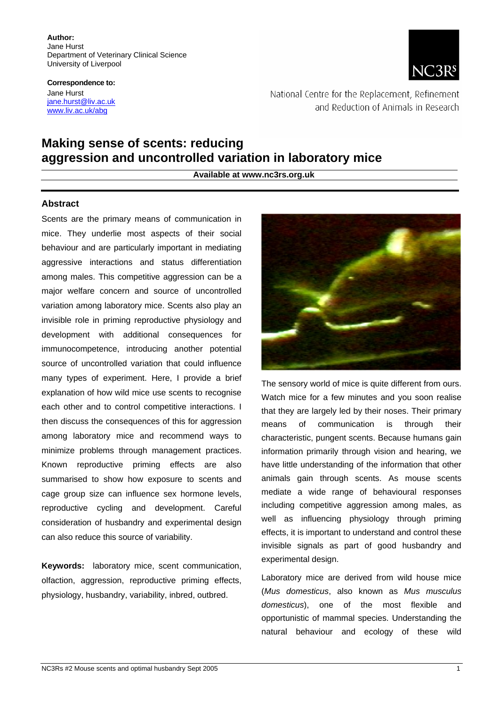**Author:**  Jane Hurst Department of Veterinary Clinical Science University of Liverpool

**Correspondence to:**  Jane Hurst [jane.hurst@liv.ac.uk](mailto:jane.hurst@liv.ac.uk) [www.liv.ac.uk/abg](http://www.liv.ac.uk/abg)



National Centre for the Replacement, Refinement and Reduction of Animals in Research

# **Making sense of scents: reducing aggression and uncontrolled variation in laboratory mice**

**Available at www.nc3rs.org.uk** 

#### **Abstract**

Scents are the primary means of communication in mice. They underlie most aspects of their social behaviour and are particularly important in mediating aggressive interactions and status differentiation among males. This competitive aggression can be a major welfare concern and source of uncontrolled variation among laboratory mice. Scents also play an invisible role in priming reproductive physiology and development with additional consequences for immunocompetence, introducing another potential source of uncontrolled variation that could influence many types of experiment. Here, I provide a brief explanation of how wild mice use scents to recognise each other and to control competitive interactions. I then discuss the consequences of this for aggression among laboratory mice and recommend ways to minimize problems through management practices. Known reproductive priming effects are also summarised to show how exposure to scents and cage group size can influence sex hormone levels, reproductive cycling and development. Careful consideration of husbandry and experimental design can also reduce this source of variability.

**Keywords:** laboratory mice, scent communication, olfaction, aggression, reproductive priming effects, physiology, husbandry, variability, inbred, outbred.



The sensory world of mice is quite different from ours. Watch mice for a few minutes and you soon realise that they are largely led by their noses. Their primary means of communication is through their characteristic, pungent scents. Because humans gain information primarily through vision and hearing, we have little understanding of the information that other animals gain through scents. As mouse scents mediate a wide range of behavioural responses including competitive aggression among males, as well as influencing physiology through priming effects, it is important to understand and control these invisible signals as part of good husbandry and experimental design.

Laboratory mice are derived from wild house mice (*Mus domesticus*, also known as *Mus musculus domesticus*), one of the most flexible and opportunistic of mammal species. Understanding the natural behaviour and ecology of these wild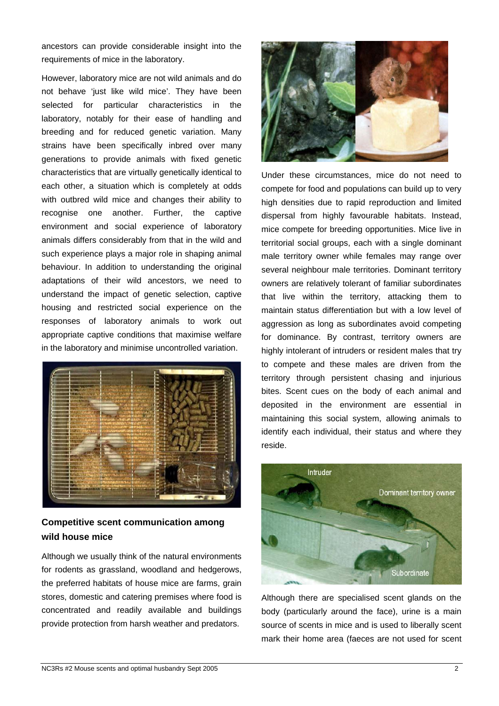ancestors can provide considerable insight into the requirements of mice in the laboratory.

However, laboratory mice are not wild animals and do not behave 'iust like wild mice'. They have been selected for particular characteristics in the laboratory, notably for their ease of handling and breeding and for reduced genetic variation. Many strains have been specifically inbred over many generations to provide animals with fixed genetic characteristics that are virtually genetically identical to each other, a situation which is completely at odds with outbred wild mice and changes their ability to recognise one another. Further, the captive environment and social experience of laboratory animals differs considerably from that in the wild and such experience plays a major role in shaping animal behaviour. In addition to understanding the original adaptations of their wild ancestors, we need to understand the impact of genetic selection, captive housing and restricted social experience on the responses of laboratory animals to work out appropriate captive conditions that maximise welfare in the laboratory and minimise uncontrolled variation.



## **Competitive scent communication among wild house mice**

Although we usually think of the natural environments for rodents as grassland, woodland and hedgerows, the preferred habitats of house mice are farms, grain stores, domestic and catering premises where food is concentrated and readily available and buildings provide protection from harsh weather and predators.



Under these circumstances, mice do not need to compete for food and populations can build up to very high densities due to rapid reproduction and limited dispersal from highly favourable habitats. Instead, mice compete for breeding opportunities. Mice live in territorial social groups, each with a single dominant male territory owner while females may range over several neighbour male territories. Dominant territory owners are relatively tolerant of familiar subordinates that live within the territory, attacking them to maintain status differentiation but with a low level of aggression as long as subordinates avoid competing for dominance. By contrast, territory owners are highly intolerant of intruders or resident males that try to compete and these males are driven from the territory through persistent chasing and injurious bites. Scent cues on the body of each animal and deposited in the environment are essential in maintaining this social system, allowing animals to identify each individual, their status and where they reside.



Although there are specialised scent glands on the body (particularly around the face), urine is a main source of scents in mice and is used to liberally scent mark their home area (faeces are not used for scent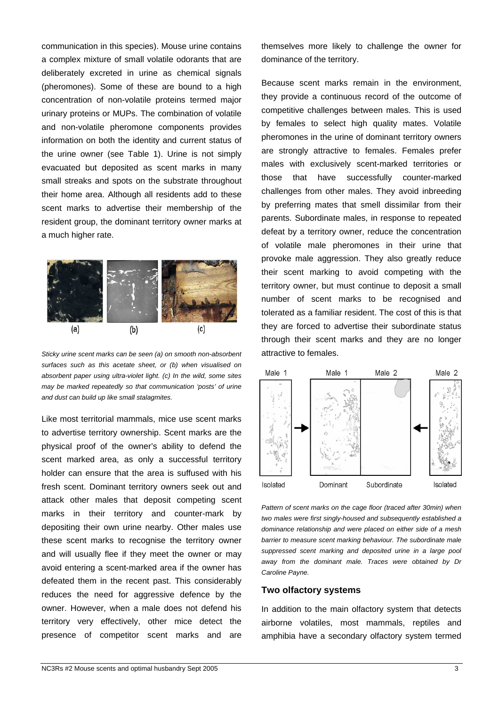communication in this species). Mouse urine contains a complex mixture of small volatile odorants that are deliberately excreted in urine as chemical signals (pheromones). Some of these are bound to a high concentration of non-volatile proteins termed major urinary proteins or MUPs. The combination of volatile and non-volatile pheromone components provides information on both the identity and current status of the urine owner (see Table 1). Urine is not simply evacuated but deposited as scent marks in many small streaks and spots on the substrate throughout their home area. Although all residents add to these scent marks to advertise their membership of the resident group, the dominant territory owner marks at a much higher rate.



*Sticky urine scent marks can be seen (a) on smooth non-absorbent surfaces such as this acetate sheet, or (b) when visualised on absorbent paper using ultra-violet light. (c) In the wild, some sites may be marked repeatedly so that communication 'posts' of urine and dust can build up like small stalagmites.* 

Like most territorial mammals, mice use scent marks to advertise territory ownership. Scent marks are the physical proof of the owner's ability to defend the scent marked area, as only a successful territory holder can ensure that the area is suffused with his fresh scent. Dominant territory owners seek out and attack other males that deposit competing scent marks in their territory and counter-mark by depositing their own urine nearby. Other males use these scent marks to recognise the territory owner and will usually flee if they meet the owner or may avoid entering a scent-marked area if the owner has defeated them in the recent past. This considerably reduces the need for aggressive defence by the owner. However, when a male does not defend his territory very effectively, other mice detect the presence of competitor scent marks and are

themselves more likely to challenge the owner for dominance of the territory.

Because scent marks remain in the environment, they provide a continuous record of the outcome of competitive challenges between males. This is used by females to select high quality mates. Volatile pheromones in the urine of dominant territory owners are strongly attractive to females. Females prefer males with exclusively scent-marked territories or those that have successfully counter-marked challenges from other males. They avoid inbreeding by preferring mates that smell dissimilar from their parents. Subordinate males, in response to repeated defeat by a territory owner, reduce the concentration of volatile male pheromones in their urine that provoke male aggression. They also greatly reduce their scent marking to avoid competing with the territory owner, but must continue to deposit a small number of scent marks to be recognised and tolerated as a familiar resident. The cost of this is that they are forced to advertise their subordinate status through their scent marks and they are no longer attractive to females.



*Pattern of scent marks on the cage floor (traced after 30min) when two males were first singly-housed and subsequently established a dominance relationship and were placed on either side of a mesh barrier to measure scent marking behaviour. The subordinate male suppressed scent marking and deposited urine in a large pool away from the dominant male. Traces were obtained by Dr Caroline Payne.* 

### **Two olfactory systems**

In addition to the main olfactory system that detects airborne volatiles, most mammals, reptiles and amphibia have a secondary olfactory system termed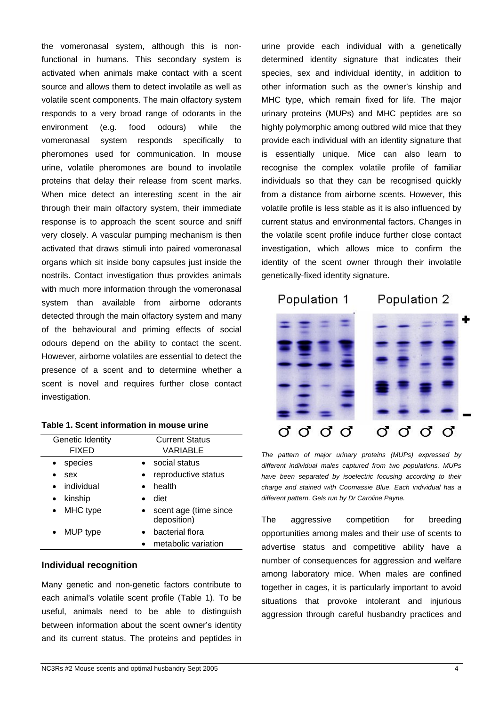the vomeronasal system, although this is nonfunctional in humans. This secondary system is activated when animals make contact with a scent source and allows them to detect involatile as well as volatile scent components. The main olfactory system responds to a very broad range of odorants in the environment (e.g. food odours) while the vomeronasal system responds specifically to pheromones used for communication. In mouse urine, volatile pheromones are bound to involatile proteins that delay their release from scent marks. When mice detect an interesting scent in the air through their main olfactory system, their immediate response is to approach the scent source and sniff very closely. A vascular pumping mechanism is then activated that draws stimuli into paired vomeronasal organs which sit inside bony capsules just inside the nostrils. Contact investigation thus provides animals with much more information through the vomeronasal system than available from airborne odorants detected through the main olfactory system and many of the behavioural and priming effects of social odours depend on the ability to contact the scent. However, airborne volatiles are essential to detect the presence of a scent and to determine whether a scent is novel and requires further close contact investigation.

|  |  |  | Table 1. Scent information in mouse urine |  |  |  |
|--|--|--|-------------------------------------------|--|--|--|
|--|--|--|-------------------------------------------|--|--|--|

| Genetic Identity        | <b>Current Status</b>                |
|-------------------------|--------------------------------------|
| <b>FIXED</b>            | VARIABLE                             |
| species                 | social status                        |
| sex                     | reproductive status                  |
| individual<br>$\bullet$ | health                               |
| kinship                 | diet                                 |
| MHC type<br>$\bullet$   | scent age (time since<br>deposition) |
| MUP type                | bacterial flora                      |
|                         | metabolic variation                  |

#### **Individual recognition**

Many genetic and non-genetic factors contribute to each animal's volatile scent profile (Table 1). To be useful, animals need to be able to distinguish between information about the scent owner's identity and its current status. The proteins and peptides in urine provide each individual with a genetically determined identity signature that indicates their species, sex and individual identity, in addition to other information such as the owner's kinship and MHC type, which remain fixed for life. The major urinary proteins (MUPs) and MHC peptides are so highly polymorphic among outbred wild mice that they provide each individual with an identity signature that is essentially unique. Mice can also learn to recognise the complex volatile profile of familiar individuals so that they can be recognised quickly from a distance from airborne scents. However, this volatile profile is less stable as it is also influenced by current status and environmental factors. Changes in the volatile scent profile induce further close contact investigation, which allows mice to confirm the identity of the scent owner through their involatile genetically-fixed identity signature.



*The pattern of major urinary proteins (MUPs) expressed by different individual males captured from two populations. MUPs have been separated by isoelectric focusing according to their charge and stained with Coomassie Blue. Each individual has a different pattern. Gels run by Dr Caroline Payne.* 

ರರರ

σ

ರರರರ

The aggressive competition for breeding opportunities among males and their use of scents to advertise status and competitive ability have a number of consequences for aggression and welfare among laboratory mice. When males are confined together in cages, it is particularly important to avoid situations that provoke intolerant and injurious aggression through careful husbandry practices and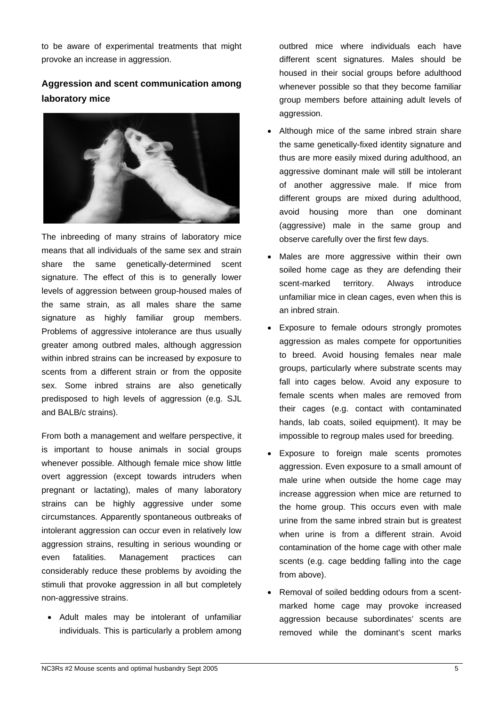to be aware of experimental treatments that might provoke an increase in aggression.

## **Aggression and scent communication among laboratory mice**



The inbreeding of many strains of laboratory mice means that all individuals of the same sex and strain share the same genetically-determined scent signature. The effect of this is to generally lower levels of aggression between group-housed males of the same strain, as all males share the same signature as highly familiar group members. Problems of aggressive intolerance are thus usually greater among outbred males, although aggression within inbred strains can be increased by exposure to scents from a different strain or from the opposite sex. Some inbred strains are also genetically predisposed to high levels of aggression (e.g. SJL and BALB/c strains).

From both a management and welfare perspective, it is important to house animals in social groups whenever possible. Although female mice show little overt aggression (except towards intruders when pregnant or lactating), males of many laboratory strains can be highly aggressive under some circumstances. Apparently spontaneous outbreaks of intolerant aggression can occur even in relatively low aggression strains, resulting in serious wounding or even fatalities. Management practices can considerably reduce these problems by avoiding the stimuli that provoke aggression in all but completely non-aggressive strains.

• Adult males may be intolerant of unfamiliar individuals. This is particularly a problem among outbred mice where individuals each have different scent signatures. Males should be housed in their social groups before adulthood whenever possible so that they become familiar group members before attaining adult levels of aggression.

- Although mice of the same inbred strain share the same genetically-fixed identity signature and thus are more easily mixed during adulthood, an aggressive dominant male will still be intolerant of another aggressive male. If mice from different groups are mixed during adulthood. avoid housing more than one dominant (aggressive) male in the same group and observe carefully over the first few days.
- Males are more aggressive within their own soiled home cage as they are defending their scent-marked territory. Always introduce unfamiliar mice in clean cages, even when this is an inbred strain.
- Exposure to female odours strongly promotes aggression as males compete for opportunities to breed. Avoid housing females near male groups, particularly where substrate scents may fall into cages below. Avoid any exposure to female scents when males are removed from their cages (e.g. contact with contaminated hands, lab coats, soiled equipment). It may be impossible to regroup males used for breeding.
- Exposure to foreign male scents promotes aggression. Even exposure to a small amount of male urine when outside the home cage may increase aggression when mice are returned to the home group. This occurs even with male urine from the same inbred strain but is greatest when urine is from a different strain. Avoid contamination of the home cage with other male scents (e.g. cage bedding falling into the cage from above).
- Removal of soiled bedding odours from a scentmarked home cage may provoke increased aggression because subordinates' scents are removed while the dominant's scent marks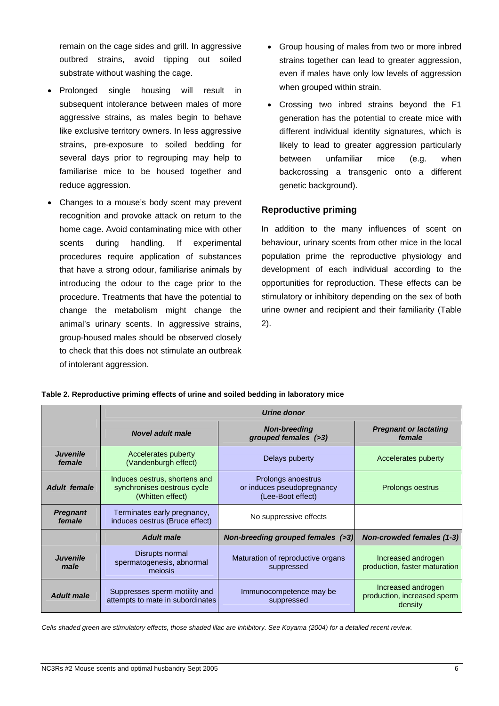remain on the cage sides and grill. In aggressive outbred strains, avoid tipping out soiled substrate without washing the cage.

- Prolonged single housing will result in when grouped within strain. subsequent intolerance between males of more aggressive strains, as males begin to behave like exclusive territory owners. In less aggressive strains, pre-exposure to soiled bedding for several days prior to regrouping may help to familiarise mice to be housed together and reduce aggression.
- Changes to a mouse's body scent may prevent recognition and provoke attack on return to the home cage. Avoid contaminating mice with other scents during handling. If experimental procedures require application of substances that have a strong odour, familiarise animals by introducing the odour to the cage prior to the procedure. Treatments that have the potential to change the metabolism might change the animal's urinary scents. In aggressive strains, group-housed males should be observed closely to check that this does not stimulate an outbreak of intolerant aggression.
- Group housing of males from two or more inbred strains together can lead to greater aggression, even if males have only low levels of aggression
- Crossing two inbred strains beyond the F1 generation has the potential to create mice with different individual identity signatures, which is likely to lead to greater aggression particularly between unfamiliar mice (e.g. when backcrossing a transgenic onto a different genetic background).

### **Reproductive priming**

In addition to the many influences of scent on behaviour, urinary scents from other mice in the local population prime the reproductive physiology and development of each individual according to the opportunities for reproduction. These effects can be stimulatory or inhibitory depending on the sex of both urine owner and recipient and their familiarity (Table 2).

|                           | Urine donor                                                                      |                                                                       |                                                              |  |  |  |
|---------------------------|----------------------------------------------------------------------------------|-----------------------------------------------------------------------|--------------------------------------------------------------|--|--|--|
|                           | <b>Novel adult male</b>                                                          | <b>Non-breeding</b><br>grouped females (>3)                           | <b>Pregnant or lactating</b><br>female                       |  |  |  |
| <b>Juvenile</b><br>female | Accelerates puberty<br>(Vandenburgh effect)                                      | Delays puberty                                                        | Accelerates puberty                                          |  |  |  |
| <b>Adult female</b>       | Induces oestrus, shortens and<br>synchronises oestrous cycle<br>(Whitten effect) | Prolongs anoestrus<br>or induces pseudopregnancy<br>(Lee-Boot effect) | Prolongs oestrus                                             |  |  |  |
| <b>Pregnant</b><br>female | Terminates early pregnancy,<br>induces oestrus (Bruce effect)                    | No suppressive effects                                                |                                                              |  |  |  |
|                           | <b>Adult male</b>                                                                | Non-breeding grouped females (>3)                                     | Non-crowded females (1-3)                                    |  |  |  |
| <b>Juvenile</b><br>male   | Disrupts normal<br>spermatogenesis, abnormal<br>mejosis                          | Maturation of reproductive organs<br>suppressed                       | Increased androgen<br>production, faster maturation          |  |  |  |
| <b>Adult male</b>         | Suppresses sperm motility and<br>attempts to mate in subordinates                | Immunocompetence may be<br>suppressed                                 | Increased androgen<br>production, increased sperm<br>density |  |  |  |

*Cells shaded green are stimulatory effects, those shaded lilac are inhibitory. See Koyama (2004) for a detailed recent review.*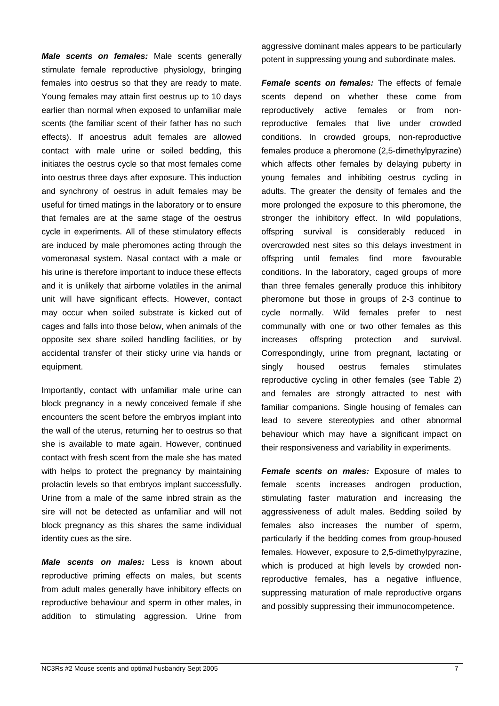*Male scents on females:* Male scents generally stimulate female reproductive physiology, bringing females into oestrus so that they are ready to mate. Young females may attain first oestrus up to 10 days earlier than normal when exposed to unfamiliar male scents (the familiar scent of their father has no such effects). If anoestrus adult females are allowed contact with male urine or soiled bedding, this initiates the oestrus cycle so that most females come into oestrus three days after exposure. This induction and synchrony of oestrus in adult females may be useful for timed matings in the laboratory or to ensure that females are at the same stage of the oestrus cycle in experiments. All of these stimulatory effects are induced by male pheromones acting through the vomeronasal system. Nasal contact with a male or his urine is therefore important to induce these effects and it is unlikely that airborne volatiles in the animal unit will have significant effects. However, contact may occur when soiled substrate is kicked out of cages and falls into those below, when animals of the opposite sex share soiled handling facilities, or by accidental transfer of their sticky urine via hands or equipment.

Importantly, contact with unfamiliar male urine can block pregnancy in a newly conceived female if she encounters the scent before the embryos implant into the wall of the uterus, returning her to oestrus so that she is available to mate again. However, continued contact with fresh scent from the male she has mated with helps to protect the pregnancy by maintaining prolactin levels so that embryos implant successfully. Urine from a male of the same inbred strain as the sire will not be detected as unfamiliar and will not block pregnancy as this shares the same individual identity cues as the sire.

*Male scents on males:* Less is known about reproductive priming effects on males, but scents from adult males generally have inhibitory effects on reproductive behaviour and sperm in other males, in addition to stimulating aggression. Urine from

aggressive dominant males appears to be particularly potent in suppressing young and subordinate males.

*Female scents on females:* The effects of female scents depend on whether these come from reproductively active females or from nonreproductive females that live under crowded conditions. In crowded groups, non-reproductive females produce a pheromone (2,5-dimethylpyrazine) which affects other females by delaying puberty in young females and inhibiting oestrus cycling in adults. The greater the density of females and the more prolonged the exposure to this pheromone, the stronger the inhibitory effect. In wild populations, offspring survival is considerably reduced in overcrowded nest sites so this delays investment in offspring until females find more favourable conditions. In the laboratory, caged groups of more than three females generally produce this inhibitory pheromone but those in groups of 2-3 continue to cycle normally. Wild females prefer to nest communally with one or two other females as this increases offspring protection and survival. Correspondingly, urine from pregnant, lactating or singly housed oestrus females stimulates reproductive cycling in other females (see Table 2) and females are strongly attracted to nest with familiar companions. Single housing of females can lead to severe stereotypies and other abnormal behaviour which may have a significant impact on their responsiveness and variability in experiments.

*Female scents on males:* Exposure of males to female scents increases androgen production, stimulating faster maturation and increasing the aggressiveness of adult males. Bedding soiled by females also increases the number of sperm, particularly if the bedding comes from group-housed females. However, exposure to 2,5-dimethylpyrazine, which is produced at high levels by crowded nonreproductive females, has a negative influence, suppressing maturation of male reproductive organs and possibly suppressing their immunocompetence.